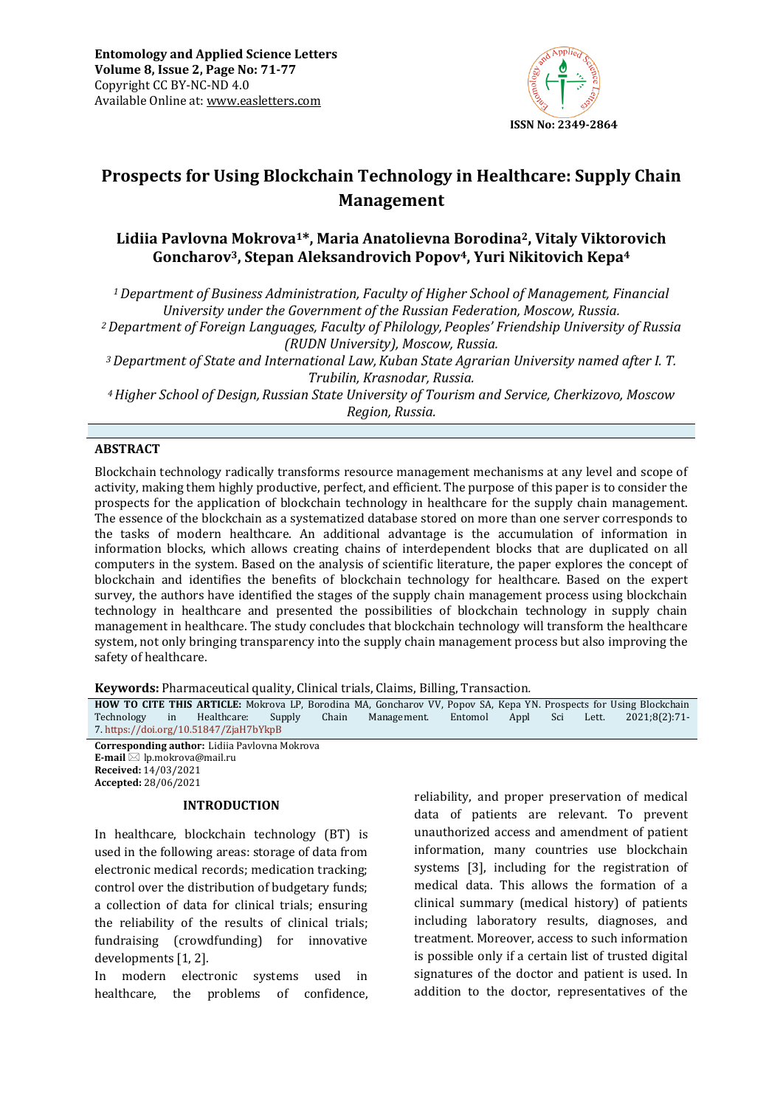

# **Prospects for Using Blockchain Technology in Healthcare: Supply Chain Management**

## **Lidiia Pavlovna Mokrova1\*, Maria Anatolievna Borodina2, Vitaly Viktorovich Goncharov3, Stepan Aleksandrovich Popov4, Yuri Nikitovich Kepa<sup>4</sup>**

*<sup>1</sup>Department of Business Administration, Faculty of Higher School of Management, Financial University under the Government of the Russian Federation, Moscow, Russia. <sup>2</sup>Department of Foreign Languages, Faculty of Philology, Peoples' Friendship University of Russia (RUDN University), Moscow, Russia. <sup>3</sup>Department of State and International Law,Kuban State Agrarian University named after I. T. Trubilin, Krasnodar, Russia.*

*<sup>4</sup>Higher School of Design,Russian State University of Tourism and Service, Cherkizovo, Moscow Region, Russia.*

## **ABSTRACT**

Blockchain technology radically transforms resource management mechanisms at any level and scope of activity, making them highly productive, perfect, and efficient. The purpose of this paper is to consider the prospects for the application of blockchain technology in healthcare for the supply chain management. The essence of the blockchain as a systematized database stored on more than one server corresponds to the tasks of modern healthcare. An additional advantage is the accumulation of information in information blocks, which allows creating chains of interdependent blocks that are duplicated on all computers in the system. Based on the analysis of scientific literature, the paper explores the concept of blockchain and identifies the benefits of blockchain technology for healthcare. Based on the expert survey, the authors have identified the stages of the supply chain management process using blockchain technology in healthcare and presented the possibilities of blockchain technology in supply chain management in healthcare. The study concludes that blockchain technology will transform the healthcare system, not only bringing transparency into the supply chain management process but also improving the safety of healthcare.

**Keywords:** Pharmaceutical quality, Clinical trials, Claims, Billing, Transaction*.*

**HOW TO CITE THIS ARTICLE:** Mokrova LP, Borodina MA, Goncharov VV, Popov SA, Kepa YN. Prospects for Using Blockchain Technology in Healthcare: Supply Chain Management. Entomol Appl Sci Lett. 2021;8(2):71-Technology in Healthcare: Supply Chain Management. Entomol Appl Sci Lett. 2021;8(2):71- 7. <https://doi.org/10.51847/ZjaH7bYkpB>

**Corresponding author:** Lidiia Pavlovna Mokrova **E-mail** ⊠ lp.mokrova@mail.ru **Received:** 14/03/2021 **Accepted:** 28/06/2021

#### **INTRODUCTION**

In healthcare, blockchain technology (BT) is used in the following areas: storage of data from electronic medical records; medication tracking; control over the distribution of budgetary funds; a collection of data for clinical trials; ensuring the reliability of the results of clinical trials; fundraising (crowdfunding) for innovative developments [1, 2].

In modern electronic systems used in healthcare, the problems of confidence, reliability, and proper preservation of medical data of patients are relevant. To prevent unauthorized access and amendment of patient information, many countries use blockchain systems [3], including for the registration of medical data. This allows the formation of a clinical summary (medical history) of patients including laboratory results, diagnoses, and treatment. Moreover, access to such information is possible only if a certain list of trusted digital signatures of the doctor and patient is used. In addition to the doctor, representatives of the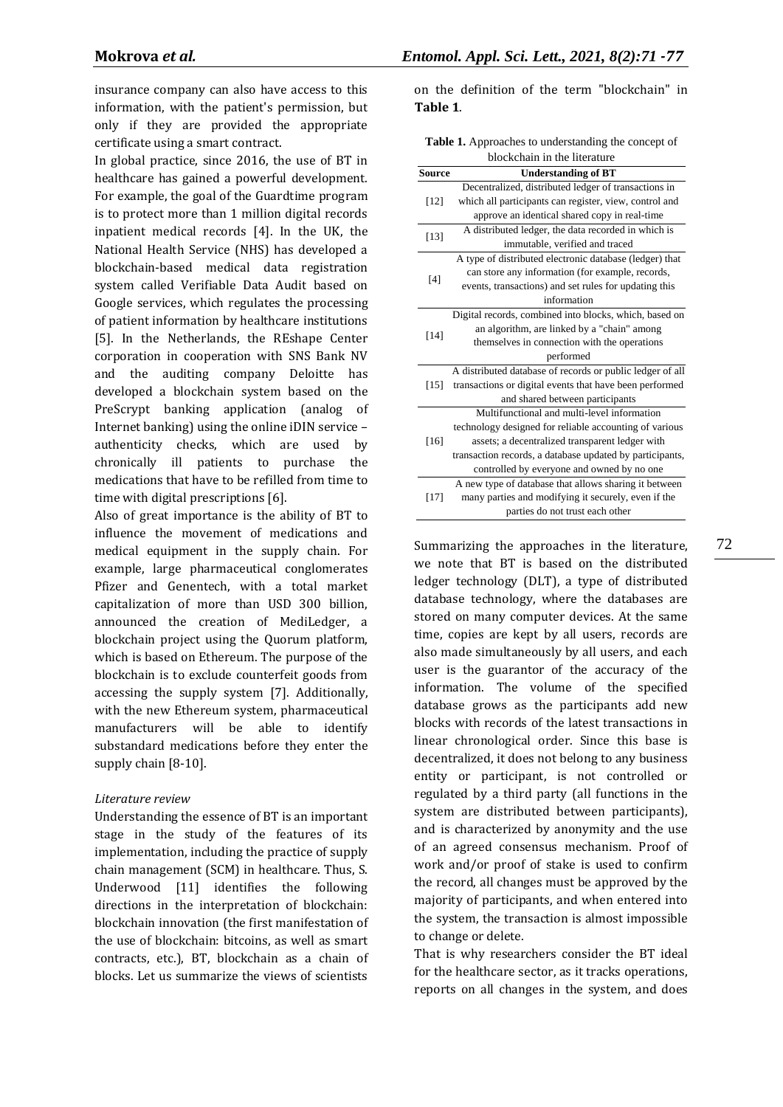insurance company can also have access to this information, with the patient's permission, but only if they are provided the appropriate certificate using a smart contract.

In global practice, since 2016, the use of BT in healthcare has gained a powerful development. For example, the goal of the Guardtime program is to protect more than 1 million digital records inpatient medical records [4]. In the UK, the National Health Service (NHS) has developed a blockchain-based medical data registration system called Verifiable Data Audit based on Google services, which regulates the processing of patient information by healthcare institutions [5]. In the Netherlands, the REshape Center corporation in cooperation with SNS Bank NV and the auditing company Deloitte has developed a blockchain system based on the PreScrypt banking application (analog of Internet banking) using the online iDIN service – authenticity checks, which are used by chronically ill patients to purchase the medications that have to be refilled from time to time with digital prescriptions [6].

Also of great importance is the ability of BT to influence the movement of medications and medical equipment in the supply chain. For example, large pharmaceutical conglomerates Pfizer and Genentech, with a total market capitalization of more than USD 300 billion, announced the creation of MediLedger, a blockchain project using the Quorum platform, which is based on Ethereum. The purpose of the blockchain is to exclude counterfeit goods from accessing the supply system [7]. Additionally, with the new Ethereum system, pharmaceutical manufacturers will be able to identify substandard medications before they enter the supply chain [8-10].

#### *Literature review*

Understanding the essence of BT is an important stage in the study of the features of its implementation, including the practice of supply chain management (SCM) in healthcare. Thus, S. Underwood [11] identifies the following directions in the interpretation of blockchain: blockchain innovation (the first manifestation of the use of blockchain: bitcoins, as well as smart contracts, etc.), BT, blockchain as a chain of blocks. Let us summarize the views of scientists

on the definition of the term "blockchain" in **Table 1**.

**Table 1.** Approaches to understanding the concept of blockchain in the literature

|               | olockchaill in the inclature                              |  |  |
|---------------|-----------------------------------------------------------|--|--|
| <b>Source</b> | <b>Understanding of BT</b>                                |  |  |
| $[12]$        | Decentralized, distributed ledger of transactions in      |  |  |
|               | which all participants can register, view, control and    |  |  |
|               | approve an identical shared copy in real-time             |  |  |
| $[13]$        | A distributed ledger, the data recorded in which is       |  |  |
|               | immutable, verified and traced                            |  |  |
|               | A type of distributed electronic database (ledger) that   |  |  |
| $[4]$         | can store any information (for example, records,          |  |  |
|               | events, transactions) and set rules for updating this     |  |  |
|               | information                                               |  |  |
|               | Digital records, combined into blocks, which, based on    |  |  |
|               | an algorithm, are linked by a "chain" among               |  |  |
| $[14]$        | themselves in connection with the operations              |  |  |
|               | performed                                                 |  |  |
|               | A distributed database of records or public ledger of all |  |  |
| [15]          | transactions or digital events that have been performed   |  |  |
|               | and shared between participants                           |  |  |
|               | Multifunctional and multi-level information               |  |  |
|               | technology designed for reliable accounting of various    |  |  |
| [16]          | assets; a decentralized transparent ledger with           |  |  |
|               | transaction records, a database updated by participants,  |  |  |
|               | controlled by everyone and owned by no one                |  |  |
| [17]          | A new type of database that allows sharing it between     |  |  |
|               | many parties and modifying it securely, even if the       |  |  |
|               | parties do not trust each other                           |  |  |

Summarizing the approaches in the literature, we note that BT is based on the distributed ledger technology (DLT), a type of distributed database technology, where the databases are stored on many computer devices. At the same time, copies are kept by all users, records are also made simultaneously by all users, and each user is the guarantor of the accuracy of the information. The volume of the specified database grows as the participants add new blocks with records of the latest transactions in linear chronological order. Since this base is decentralized, it does not belong to any business entity or participant, is not controlled or regulated by a third party (all functions in the system are distributed between participants), and is characterized by anonymity and the use of an agreed consensus mechanism. Proof of work and/or proof of stake is used to confirm the record, all changes must be approved by the majority of participants, and when entered into the system, the transaction is almost impossible to change or delete.

That is why researchers consider the BT ideal for the healthcare sector, as it tracks operations, reports on all changes in the system, and does 72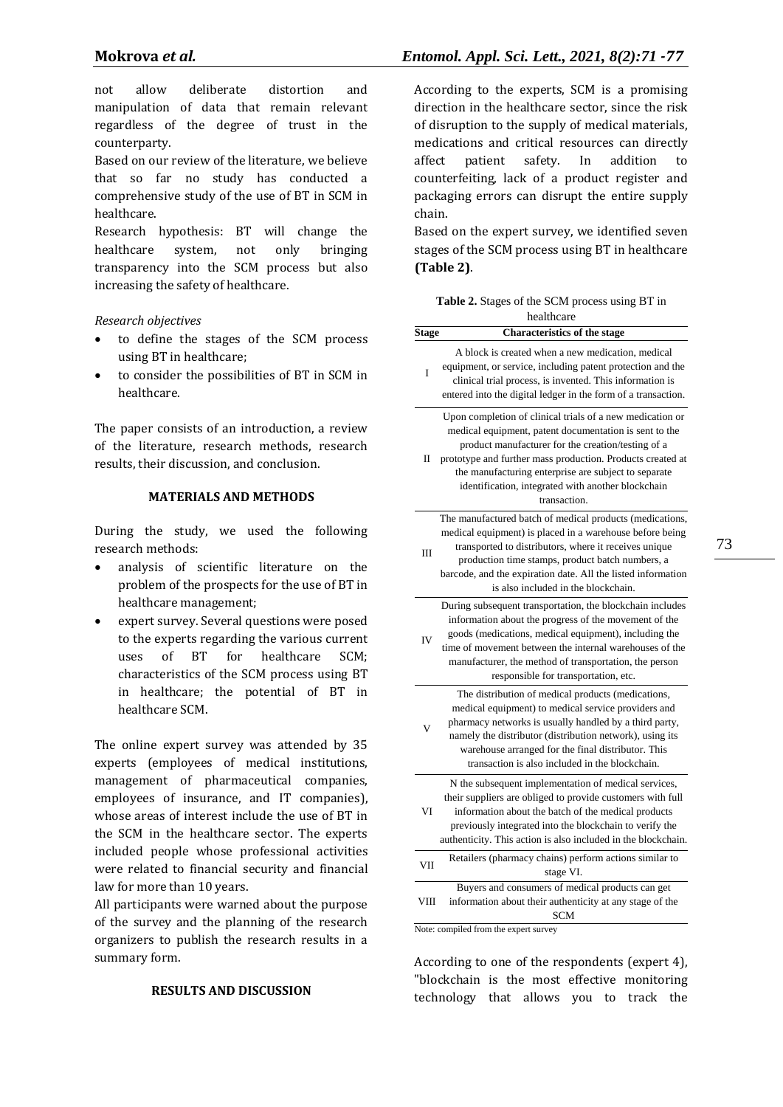not allow deliberate distortion and manipulation of data that remain relevant regardless of the degree of trust in the counterparty.

Based on our review of the literature, we believe that so far no study has conducted a comprehensive study of the use of BT in SCM in healthcare.

Research hypothesis: BT will change the healthcare system, not only bringing transparency into the SCM process but also increasing the safety of healthcare.

*Research objectives*

- to define the stages of the SCM process using BT in healthcare;
- to consider the possibilities of BT in SCM in healthcare.

The paper consists of an introduction, a review of the literature, research methods, research results, their discussion, and conclusion.

#### **MATERIALS AND METHODS**

During the study, we used the following research methods:

- analysis of scientific literature on the problem of the prospects for the use of BT in healthcare management;
- expert survey. Several questions were posed to the experts regarding the various current uses of BT for healthcare SCM; characteristics of the SCM process using BT in healthcare; the potential of BT in healthcare SCM.

The online expert survey was attended by 35 experts (employees of medical institutions, management of pharmaceutical companies, employees of insurance, and IT companies), whose areas of interest include the use of BT in the SCM in the healthcare sector. The experts included people whose professional activities were related to financial security and financial law for more than 10 years.

All participants were warned about the purpose of the survey and the planning of the research organizers to publish the research results in a summary form.

## **RESULTS AND DISCUSSION**

According to the experts, SCM is a promising direction in the healthcare sector, since the risk of disruption to the supply of medical materials, medications and critical resources can directly affect patient safety. In addition to counterfeiting, lack of a product register and packaging errors can disrupt the entire supply chain.

Based on the expert survey, we identified seven stages of the SCM process using BT in healthcare **(Table 2)**.

| <b>Table 2.</b> Stages of the SCM process using BT in |
|-------------------------------------------------------|
| healthcare                                            |

| Stage      | <b>Characteristics of the stage</b>                                                                                                                                                                                                                                                                                                                                   |  |
|------------|-----------------------------------------------------------------------------------------------------------------------------------------------------------------------------------------------------------------------------------------------------------------------------------------------------------------------------------------------------------------------|--|
| I          | A block is created when a new medication, medical<br>equipment, or service, including patent protection and the<br>clinical trial process, is invented. This information is<br>entered into the digital ledger in the form of a transaction.                                                                                                                          |  |
| П          | Upon completion of clinical trials of a new medication or<br>medical equipment, patent documentation is sent to the<br>product manufacturer for the creation/testing of a<br>prototype and further mass production. Products created at<br>the manufacturing enterprise are subject to separate<br>identification, integrated with another blockchain<br>transaction. |  |
| Ш          | The manufactured batch of medical products (medications,<br>medical equipment) is placed in a warehouse before being<br>transported to distributors, where it receives unique<br>production time stamps, product batch numbers, a<br>barcode, and the expiration date. All the listed information<br>is also included in the blockchain.                              |  |
| IV         | During subsequent transportation, the blockchain includes<br>information about the progress of the movement of the<br>goods (medications, medical equipment), including the<br>time of movement between the internal warehouses of the<br>manufacturer, the method of transportation, the person<br>responsible for transportation, etc.                              |  |
| V          | The distribution of medical products (medications,<br>medical equipment) to medical service providers and<br>pharmacy networks is usually handled by a third party,<br>namely the distributor (distribution network), using its<br>warehouse arranged for the final distributor. This<br>transaction is also included in the blockchain.                              |  |
| VI         | N the subsequent implementation of medical services,<br>their suppliers are obliged to provide customers with full<br>information about the batch of the medical products<br>previously integrated into the blockchain to verify the<br>authenticity. This action is also included in the blockchain.                                                                 |  |
| <b>VII</b> | Retailers (pharmacy chains) perform actions similar to<br>stage VI.                                                                                                                                                                                                                                                                                                   |  |
| VIII       | Buyers and consumers of medical products can get<br>information about their authenticity at any stage of the<br>SCM<br>Nota: compiled from the over                                                                                                                                                                                                                   |  |

Note: compiled from the expert survey

According to one of the respondents (expert 4), "blockchain is the most effective monitoring technology that allows you to track the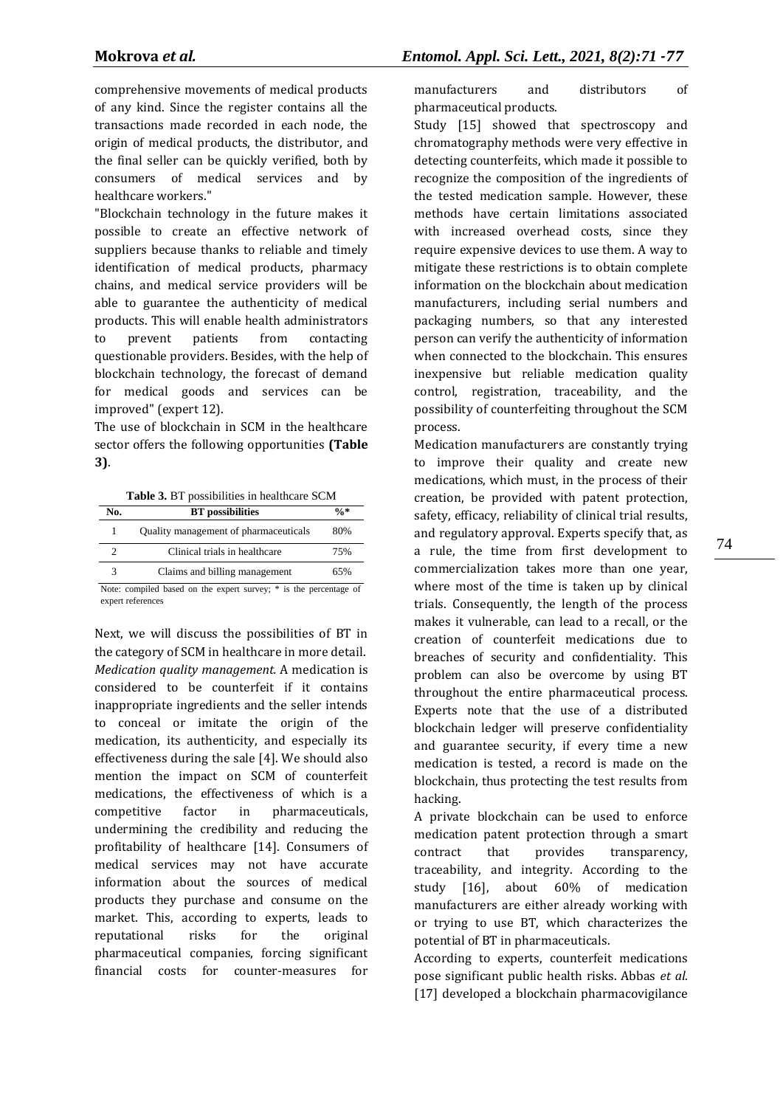comprehensive movements of medical products of any kind. Since the register contains all the transactions made recorded in each node, the origin of medical products, the distributor, and the final seller can be quickly verified, both by consumers of medical services and by healthcare workers."

"Blockchain technology in the future makes it possible to create an effective network of suppliers because thanks to reliable and timely identification of medical products, pharmacy chains, and medical service providers will be able to guarantee the authenticity of medical products. This will enable health administrators to prevent patients from contacting questionable providers. Besides, with the help of blockchain technology, the forecast of demand for medical goods and services can be improved" (expert 12).

The use of blockchain in SCM in the healthcare sector offers the following opportunities **(Table 3)**.

**Table 3.** BT possibilities in healthcare SCM

| No. | <b>BT</b> possibilities               | $\frac{0}{6}$ * |
|-----|---------------------------------------|-----------------|
|     | Quality management of pharmaceuticals | 80%             |
|     | Clinical trials in healthcare         | 75%             |
|     | Claims and billing management         | 65%             |

Note: compiled based on the expert survey; \* is the percentage of expert references

Next, we will discuss the possibilities of BT in the category of SCM in healthcare in more detail. *Medication quality management.* A medication is considered to be counterfeit if it contains inappropriate ingredients and the seller intends to conceal or imitate the origin of the medication, its authenticity, and especially its effectiveness during the sale [4]. We should also mention the impact on SCM of counterfeit medications, the effectiveness of which is a competitive factor in pharmaceuticals, undermining the credibility and reducing the profitability of healthcare [14]. Consumers of medical services may not have accurate information about the sources of medical products they purchase and consume on the market. This, according to experts, leads to reputational risks for the original pharmaceutical companies, forcing significant financial costs for counter-measures for

manufacturers and distributors of pharmaceutical products.

Study [\[15\]](https://www.mdpi.com/2076-3417/9/9/1736/htm#B133-applsci-09-01736) showed that spectroscopy and chromatography methods were very effective in detecting counterfeits, which made it possible to recognize the composition of the ingredients of the tested medication sample. However, these methods have certain limitations associated with increased overhead costs, since they require expensive devices to use them. A way to mitigate these restrictions is to obtain complete information on the blockchain about medication manufacturers, including serial numbers and packaging numbers, so that any interested person can verify the authenticity of information when connected to the blockchain. This ensures inexpensive but reliable medication quality control, registration, traceability, and the possibility of counterfeiting throughout the SCM process.

Medication manufacturers are constantly trying to improve their quality and create new medications, which must, in the process of their creation, be provided with patent protection, safety, efficacy, reliability of clinical trial results, and regulatory approval. Experts specify that, as a rule, the time from first development to commercialization takes more than one year, where most of the time is taken up by clinical trials. Consequently, the length of the process makes it vulnerable, can lead to a recall, or the creation of counterfeit medications due to breaches of security and confidentiality. This problem can also be overcome by using BT throughout the entire pharmaceutical process. Experts note that the use of a distributed blockchain ledger will preserve confidentiality and guarantee security, if every time a new medication is tested, a record is made on the blockchain, thus protecting the test results from hacking.

A private blockchain can be used to enforce medication patent protection through a smart contract that provides transparency, traceability, and integrity. According to the study [16], about 60% of medication manufacturers are either already working with or trying to use BT, which characterizes the potential of BT in pharmaceuticals.

According to experts, counterfeit medications pose significant public health risks. Abbas *et al.* [17] developed a blockchain pharmacovigilance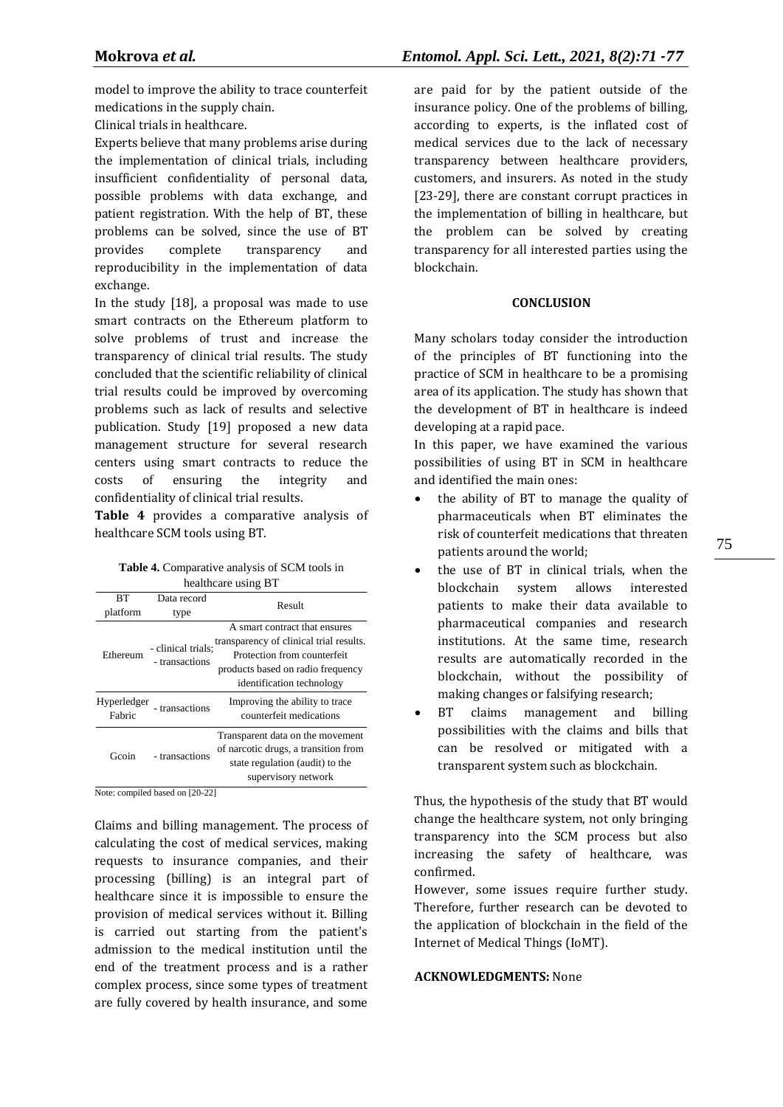model to improve the ability to trace counterfeit medications in the supply chain.

Clinical trials in healthcare.

Experts believe that many problems arise during the implementation of clinical trials, including insufficient confidentiality of personal data, possible problems with data exchange, and patient registration. With the help of BT, these problems can be solved, since the use of BT provides complete transparency and reproducibility in the implementation of data exchange.

In the study [18], a proposal was made to use smart contracts on the Ethereum platform to solve problems of trust and increase the transparency of clinical trial results. The study concluded that the scientific reliability of clinical trial results could be improved by overcoming problems such as lack of results and selective publication. Study [19] proposed a new data management structure for several research centers using smart contracts to reduce the costs of ensuring the integrity and confidentiality of clinical trial results.

**Table 4** provides a comparative analysis of healthcare SCM tools using BT.

| <b>Table 4.</b> Comparative analysis of SCM tools in |  |
|------------------------------------------------------|--|
| healthcare using BT                                  |  |

| RТ                    | Data record                          | Result                                                                                                                                                                    |  |
|-----------------------|--------------------------------------|---------------------------------------------------------------------------------------------------------------------------------------------------------------------------|--|
| platform              | type                                 |                                                                                                                                                                           |  |
| Ethereum              | - clinical trials:<br>- transactions | A smart contract that ensures<br>transparency of clinical trial results.<br>Protection from counterfeit<br>products based on radio frequency<br>identification technology |  |
| Hyperledger<br>Fabric | - transactions                       | Improving the ability to trace<br>counterfeit medications                                                                                                                 |  |
| Geoin                 | - transactions                       | Transparent data on the movement<br>of narcotic drugs, a transition from<br>state regulation (audit) to the<br>supervisory network                                        |  |

Note: compiled based on [20-22]

Claims and billing management. The process of calculating the cost of medical services, making requests to insurance companies, and their processing (billing) is an integral part of healthcare since it is impossible to ensure the provision of medical services without it. Billing is carried out starting from the patient's admission to the medical institution until the end of the treatment process and is a rather complex process, since some types of treatment are fully covered by health insurance, and some are paid for by the patient outside of the insurance policy. One of the problems of billing, according to experts, is the inflated cost of medical services due to the lack of necessary transparency between healthcare providers, customers, and insurers. As noted in the study [23-29], there are constant corrupt practices in the implementation of billing in healthcare, but the problem can be solved by creating transparency for all interested parties using the blockchain.

#### **CONCLUSION**

Many scholars today consider the introduction of the principles of BT functioning into the practice of SCM in healthcare to be a promising area of its application. The study has shown that the development of BT in healthcare is indeed developing at a rapid pace.

In this paper, we have examined the various possibilities of using BT in SCM in healthcare and identified the main ones:

- the ability of BT to manage the quality of pharmaceuticals when BT eliminates the risk of counterfeit medications that threaten patients around the world;
- the use of BT in clinical trials, when the blockchain system allows interested patients to make their data available to pharmaceutical companies and research institutions. At the same time, research results are automatically recorded in the blockchain, without the possibility of making changes or falsifying research;
- BT claims management and billing possibilities with the claims and bills that can be resolved or mitigated with a transparent system such as blockchain.

Thus, the hypothesis of the study that BT would change the healthcare system, not only bringing transparency into the SCM process but also increasing the safety of healthcare, was confirmed.

However, some issues require further study. Therefore, further research can be devoted to the application of blockchain in the field of the Internet of Medical Things (IoMT).

## **ACKNOWLEDGMENTS:** None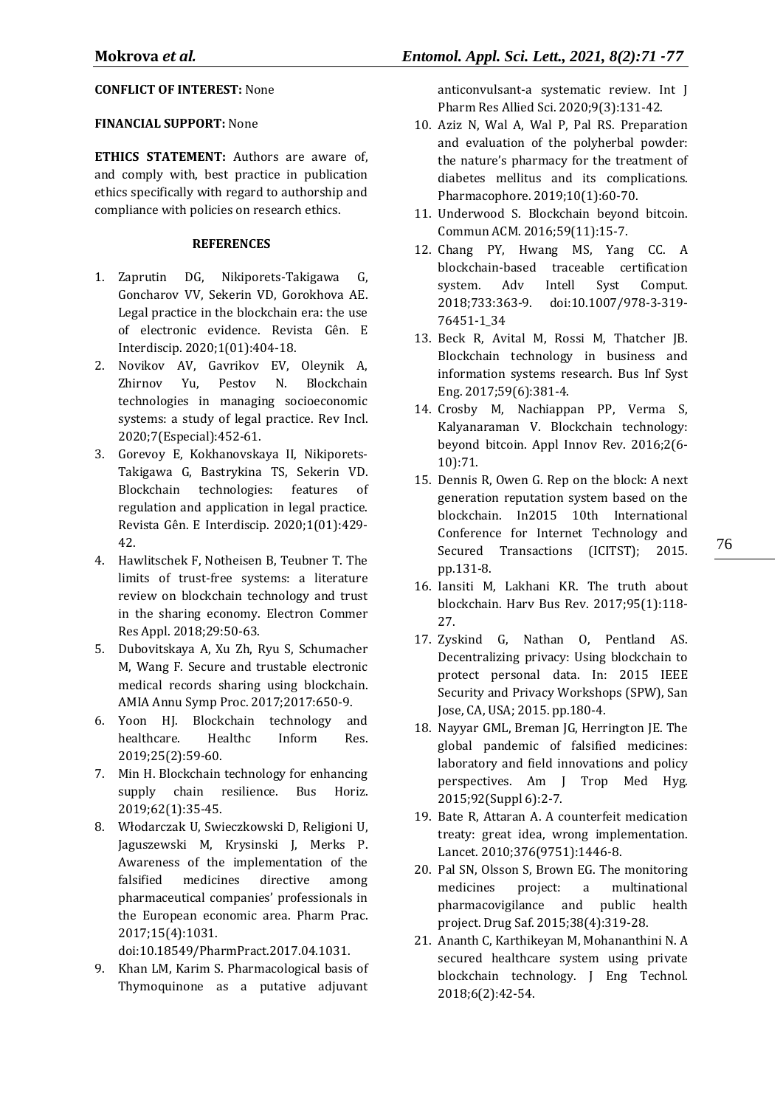## **CONFLICT OF INTEREST:** None

## **FINANCIAL SUPPORT:** None

**ETHICS STATEMENT:** Authors are aware of, and comply with, best practice in publication ethics specifically with regard to authorship and compliance with policies on research ethics.

## **REFERENCES**

- 1. Zaprutin DG, Nikiporets-Takigawa G, Goncharov VV, Sekerin VD, Gorokhova AE. Legal practice in the blockchain era: the use of electronic evidence. Revista Gên. E Interdiscip. 2020;1(01):404-18.
- 2. Novikov AV, Gavrikov EV, Oleynik A, Zhirnov Yu, Pestov N. Blockchain technologies in managing socioeconomic systems: a study of legal practice. Rev Incl. 2020;7(Especial):452-61.
- 3. Gorevoy E, Kokhanovskaya II, Nikiporets-Takigawa G, Bastrykina TS, Sekerin VD. Blockchain technologies: features of regulation and application in legal practice. Revista Gên. E Interdiscip. 2020;1(01):429- 42.
- 4. Hawlitschek F, Notheisen B, Teubner T. The limits of trust-free systems: a literature review on blockchain technology and trust in the sharing economy. Electron Commer Res Appl. 2018;29:50-63.
- 5. Dubovitskaya A, Xu Zh, Ryu S, Schumacher M, Wang F. Secure and trustable electronic medical records sharing using blockchain. AMIA Annu Symp Proc. 2017;2017:650-9.
- 6. Yoon HJ. Blockchain technology and healthcare. Healthc Inform Res. 2019;25(2):59-60.
- 7. Min H. Blockchain technology for enhancing supply chain resilience. Bus Horiz. 2019;62(1):35-45.
- 8. Włodarczak U, Swieczkowski D, Religioni U, Jaguszewski M, Krysinski J, Merks P. Awareness of the implementation of the falsified medicines directive among pharmaceutical companies' professionals in the European economic area. Pharm Prac. 2017;15(4):1031.

doi[:10.18549/PharmPract.2017.04.1031.](https://doi.org/10.18549/PharmPract.2017.04.1031)

9. Khan LM, Karim S. Pharmacological basis of Thymoquinone as a putative adjuvant anticonvulsant-a systematic review. Int J Pharm Res Allied Sci. 2020;9(3):131-42.

- 10. Aziz N, Wal A, Wal P, Pal RS. Preparation and evaluation of the polyherbal powder: the nature's pharmacy for the treatment of diabetes mellitus and its complications. Pharmacophore. 2019;10(1):60-70.
- 11. Underwood S. Blockchain beyond bitcoin. Commun ACM. 2016;59(11):15-7.
- 12. Chang PY, Hwang MS, Yang CC. A blockchain-based traceable certification system. Adv Intell Syst Comput. 2018;733:363-9. doi:10.1007/978-3-319- 76451-1\_34
- 13. Beck R, Avital M, Rossi M, Thatcher JB. Blockchain technology in business and information systems research. Bus Inf Syst Eng. 2017;59(6):381-4.
- 14. Crosby M, Nachiappan PP, Verma S, Kalyanaraman V. Blockchain technology: beyond bitcoin. Appl Innov Rev. 2016;2(6- 10):71.
- 15. Dennis R, Owen G. Rep on the block: A next generation reputation system based on the blockchain. In2015 10th International Conference for Internet Technology and Secured Transactions (ICITST); 2015. pp.131-8.
- 16. Iansiti M, Lakhani KR. The truth about blockchain. Harv Bus Rev. 2017;95(1):118- 27.
- 17. Zyskind G, Nathan O, Pentland AS. Decentralizing privacy: Using blockchain to protect personal data. In: 2015 IEEE Security and Privacy Workshops (SPW), San Jose, CA, USA; 2015. pp.180-4.
- 18. Nayyar GML, Breman JG, Herrington JE. The global pandemic of falsified medicines: laboratory and field innovations and policy perspectives. Am J Trop Med Hyg. 2015;92(Suppl 6):2-7.
- 19. Bate R, Attaran A. A counterfeit medication treaty: great idea, wrong implementation. Lancet. 2010;376(9751):1446-8.
- 20. Pal SN, Olsson S, Brown EG. The monitoring medicines project: a multinational pharmacovigilance and public health project. Drug Saf. 2015;38(4):319-28.
- 21. Ananth C, Karthikeyan M, Mohananthini N. A secured healthcare system using private blockchain technology. J Eng Technol. 2018;6(2):42-54.

76